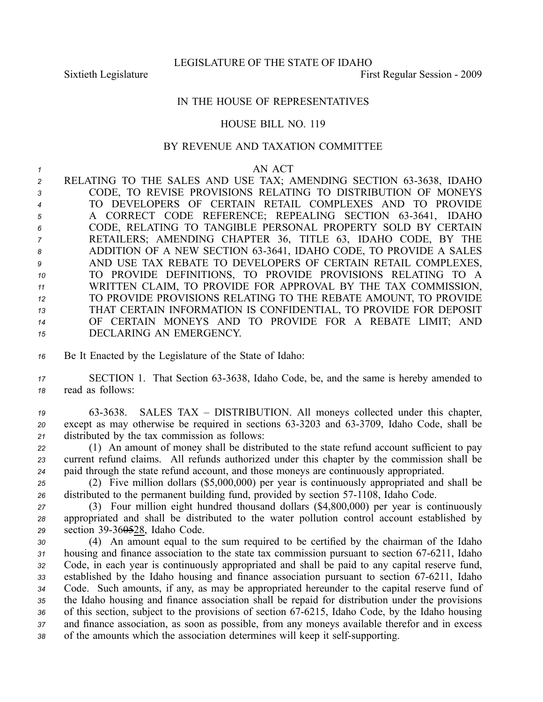LEGISLATURE OF THE STATE OF IDAHO

Sixtieth Legislature First Regular Session - 2009

## IN THE HOUSE OF REPRESENTATIVES

### HOUSE BILL NO. 119

#### BY REVENUE AND TAXATION COMMITTEE

#### *<sup>1</sup>* AN ACT

2 RELATING TO THE SALES AND USE TAX; AMENDING SECTION 63-3638, IDAHO CODE, TO REVISE PROVISIONS RELATING TO DISTRIBUTION OF MONEYS TO DEVELOPERS OF CERTAIN RETAIL COMPLEXES AND TO PROVIDE A CORRECT CODE REFERENCE; REPEALING SECTION 633641, IDAHO CODE, RELATING TO TANGIBLE PERSONAL PROPERTY SOLD BY CERTAIN RETAILERS; AMENDING CHAPTER 36, TITLE 63, IDAHO CODE, BY THE ADDITION OF A NEW SECTION 633641, IDAHO CODE, TO PROVIDE A SALES AND USE TAX REBATE TO DEVELOPERS OF CERTAIN RETAIL COMPLEXES, TO PROVIDE DEFINITIONS, TO PROVIDE PROVISIONS RELATING TO A WRITTEN CLAIM, TO PROVIDE FOR APPROVAL BY THE TAX COMMISSION, TO PROVIDE PROVISIONS RELATING TO THE REBATE AMOUNT, TO PROVIDE THAT CERTAIN INFORMATION IS CONFIDENTIAL, TO PROVIDE FOR DEPOSIT OF CERTAIN MONEYS AND TO PROVIDE FOR A REBATE LIMIT; AND DECLARING AN EMERGENCY.

*<sup>16</sup>* Be It Enacted by the Legislature of the State of Idaho:

17 **SECTION 1.** That Section 63-3638, Idaho Code, be, and the same is hereby amended to *<sup>18</sup>* read as follows:

*<sup>19</sup>* 633638. SALES TAX – DISTRIBUTION. All moneys collected under this chapter, 20 except as may otherwise be required in sections 63-3203 and 63-3709, Idaho Code, shall be *<sup>21</sup>* distributed by the tax commission as follows:

*<sup>22</sup>* (1) An amount of money shall be distributed to the state refund account sufficient to pay *<sup>23</sup>* current refund claims. All refunds authorized under this chapter by the commission shall be *<sup>24</sup>* paid through the state refund account, and those moneys are continuously appropriated.

*<sup>25</sup>* (2) Five million dollars (\$5,000,000) per year is continuously appropriated and shall be 26 distributed to the permanent building fund, provided by section 57-1108, Idaho Code.

*<sup>27</sup>* (3) Four million eight hundred thousand dollars (\$4,800,000) per year is continuously *<sup>28</sup>* appropriated and shall be distributed to the water pollution control account established by 29 section 39-36<del>05</del>28, Idaho Code.

*<sup>30</sup>* (4) An amount equal to the sum required to be certified by the chairman of the Idaho 31 housing and finance association to the state tax commission pursuant to section 67-6211, Idaho *<sup>32</sup>* Code, in each year is continuously appropriated and shall be paid to any capital reserve fund, 33 established by the Idaho housing and finance association pursuant to section 67-6211, Idaho *<sup>34</sup>* Code. Such amounts, if any, as may be appropriated hereunder to the capital reserve fund of *<sup>35</sup>* the Idaho housing and finance association shall be repaid for distribution under the provisions 36 of this section, subject to the provisions of section 67-6215, Idaho Code, by the Idaho housing *<sup>37</sup>* and finance association, as soon as possible, from any moneys available therefor and in excess 38 of the amounts which the association determines will keep it self-supporting.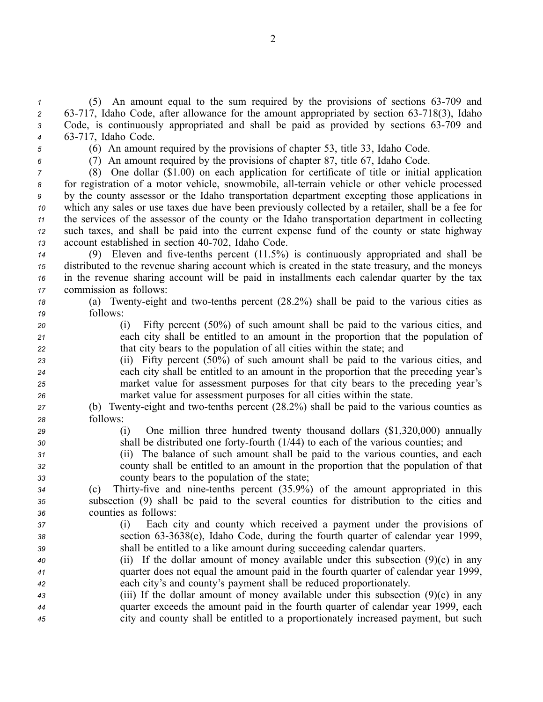*1* (5) An amount equal to the sum required by the provisions of sections 63-709 and 2 63-717, Idaho Code, after allowance for the amount appropriated by section 63-718(3), Idaho 3 Code, is continuously appropriated and shall be paid as provided by sections 63-709 and *<sup>4</sup>* 63717, Idaho Code.

- 
- 
- 
- 

*<sup>5</sup>* (6) An amount required by the provisions of chapter 53, title 33, Idaho Code.

*<sup>6</sup>* (7) An amount required by the provisions of chapter 87, title 67, Idaho Code.

 (8) One dollar (\$1.00) on each application for certificate of title or initial application 8 for registration of a motor vehicle, snowmobile, all-terrain vehicle or other vehicle processed by the county assessor or the Idaho transportation department excepting those applications in which any sales or use taxes due have been previously collected by <sup>a</sup> retailer, shall be <sup>a</sup> fee for the services of the assessor of the county or the Idaho transportation department in collecting such taxes, and shall be paid into the current expense fund of the county or state highway 13 account established in section 40-702, Idaho Code.

 (9) Eleven and fivetenths percen<sup>t</sup> (11.5%) is continuously appropriated and shall be distributed to the revenue sharing account which is created in the state treasury, and the moneys in the revenue sharing account will be paid in installments each calendar quarter by the tax commission as follows:

*18* (a) Twenty-eight and two-tenths percent (28.2%) shall be paid to the various cities as *<sup>19</sup>* follows:

*<sup>20</sup>* (i) Fifty percen<sup>t</sup> (50%) of such amount shall be paid to the various cities, and *<sup>21</sup>* each city shall be entitled to an amount in the proportion that the population of *<sup>22</sup>* that city bears to the population of all cities within the state; and

 (ii) Fifty percen<sup>t</sup> (50%) of such amount shall be paid to the various cities, and each city shall be entitled to an amount in the proportion that the preceding year's market value for assessment purposes for that city bears to the preceding year's market value for assessment purposes for all cities within the state.

- *27* (b) Twenty-eight and two-tenths percent (28.2%) shall be paid to the various counties as *<sup>28</sup>* follows:
- 

*<sup>29</sup>* (i) One million three hundred twenty thousand dollars (\$1,320,000) annually 30 shall be distributed one forty-fourth (1/44) to each of the various counties; and

*<sup>31</sup>* (ii) The balance of such amount shall be paid to the various counties, and each *<sup>32</sup>* county shall be entitled to an amount in the proportion that the population of that *<sup>33</sup>* county bears to the population of the state;

*<sup>34</sup>* (c) Thirtyfive and ninetenths percen<sup>t</sup> (35.9%) of the amount appropriated in this *<sup>35</sup>* subsection (9) shall be paid to the several counties for distribution to the cities and *<sup>36</sup>* counties as follows:

- *<sup>37</sup>* (i) Each city and county which received <sup>a</sup> paymen<sup>t</sup> under the provisions of *<sup>38</sup>* section 633638(e), Idaho Code, during the fourth quarter of calendar year 1999, *<sup>39</sup>* shall be entitled to <sup>a</sup> like amount during succeeding calendar quarters.
- *<sup>40</sup>* (ii) If the dollar amount of money available under this subsection (9)(c) in any *<sup>41</sup>* quarter does not equal the amount paid in the fourth quarter of calendar year 1999, *<sup>42</sup>* each city's and county's paymen<sup>t</sup> shall be reduced proportionately.
- *<sup>43</sup>* (iii) If the dollar amount of money available under this subsection (9)(c) in any *<sup>44</sup>* quarter exceeds the amount paid in the fourth quarter of calendar year 1999, each *<sup>45</sup>* city and county shall be entitled to <sup>a</sup> proportionately increased payment, but such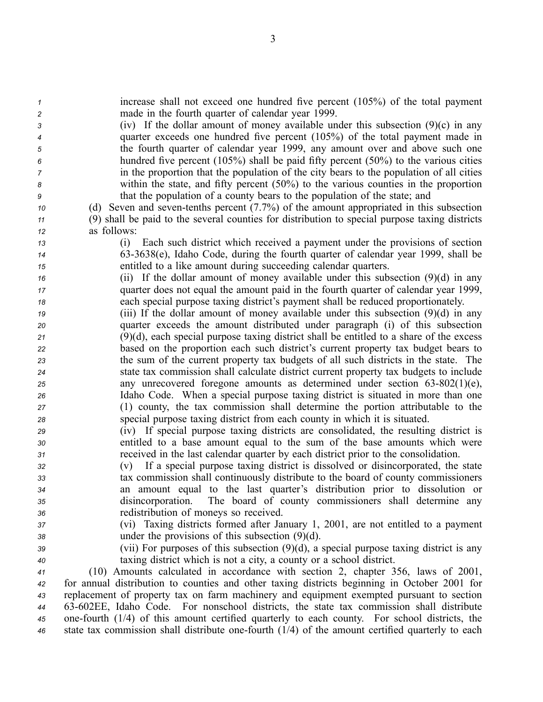*<sup>1</sup>* increase shall not exceed one hundred five percen<sup>t</sup> (105%) of the total paymen<sup>t</sup> *<sup>2</sup>* made in the fourth quarter of calendar year 1999.

 (iv) If the dollar amount of money available under this subsection (9)(c) in any quarter exceeds one hundred five percen<sup>t</sup> (105%) of the total paymen<sup>t</sup> made in the fourth quarter of calendar year 1999, any amount over and above such one hundred five percen<sup>t</sup> (105%) shall be paid fifty percen<sup>t</sup> (50%) to the various cities in the proportion that the population of the city bears to the population of all cities within the state, and fifty percen<sup>t</sup> (50%) to the various counties in the proportion that the population of <sup>a</sup> county bears to the population of the state; and

*10* (d) Seven and seven-tenths percent (7.7%) of the amount appropriated in this subsection *<sup>11</sup>* (9) shall be paid to the several counties for distribution to special purpose taxing districts *<sup>12</sup>* as follows:

*<sup>13</sup>* (i) Each such district which received <sup>a</sup> paymen<sup>t</sup> under the provisions of section *<sup>14</sup>* 633638(e), Idaho Code, during the fourth quarter of calendar year 1999, shall be *<sup>15</sup>* entitled to <sup>a</sup> like amount during succeeding calendar quarters.

*<sup>16</sup>* (ii) If the dollar amount of money available under this subsection (9)(d) in any *<sup>17</sup>* quarter does not equal the amount paid in the fourth quarter of calendar year 1999, *<sup>18</sup>* each special purpose taxing district's paymen<sup>t</sup> shall be reduced proportionately.

 (iii) If the dollar amount of money available under this subsection (9)(d) in any quarter exceeds the amount distributed under paragraph (i) of this subsection (9)(d), each special purpose taxing district shall be entitled to <sup>a</sup> share of the excess based on the proportion each such district's current property tax budget bears to the sum of the current property tax budgets of all such districts in the state. The state tax commission shall calculate district current property tax budgets to include any unrecovered foregone amounts as determined under section 63-802(1)(e), Idaho Code. When <sup>a</sup> special purpose taxing district is situated in more than one (1) county, the tax commission shall determine the portion attributable to the special purpose taxing district from each county in which it is situated.

*<sup>29</sup>* (iv) If special purpose taxing districts are consolidated, the resulting district is *<sup>30</sup>* entitled to <sup>a</sup> base amount equal to the sum of the base amounts which were *<sup>31</sup>* received in the last calendar quarter by each district prior to the consolidation.

 (v) If <sup>a</sup> special purpose taxing district is dissolved or disincorporated, the state tax commission shall continuously distribute to the board of county commissioners an amount equal to the last quarter's distribution prior to dissolution or disincorporation. The board of county commissioners shall determine any redistribution of moneys so received.

*<sup>37</sup>* (vi) Taxing districts formed after January 1, 2001, are not entitled to <sup>a</sup> paymen<sup>t</sup> *<sup>38</sup>* under the provisions of this subsection (9)(d).

*<sup>39</sup>* (vii) For purposes of this subsection (9)(d), <sup>a</sup> special purpose taxing district is any *<sup>40</sup>* taxing district which is not <sup>a</sup> city, <sup>a</sup> county or <sup>a</sup> school district.

 (10) Amounts calculated in accordance with section 2, chapter 356, laws of 2001, for annual distribution to counties and other taxing districts beginning in October 2001 for replacement of property tax on farm machinery and equipment exempted pursuan<sup>t</sup> to section 63602EE, Idaho Code. For nonschool districts, the state tax commission shall distribute onefourth (1/4) of this amount certified quarterly to each county. For school districts, the 46 state tax commission shall distribute one-fourth (1/4) of the amount certified quarterly to each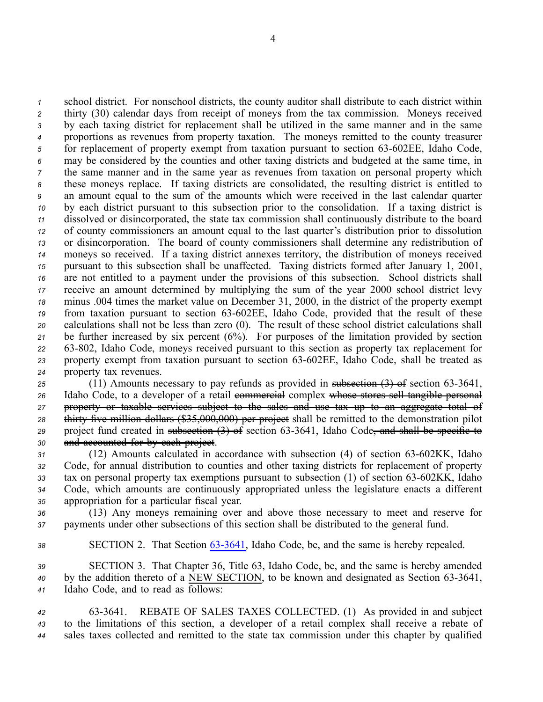school district. For nonschool districts, the county auditor shall distribute to each district within thirty (30) calendar days from receipt of moneys from the tax commission. Moneys received by each taxing district for replacement shall be utilized in the same manner and in the same proportions as revenues from property taxation. The moneys remitted to the county treasurer <sup>5</sup> for replacement of property exempt from taxation pursuant to section 63-602EE, Idaho Code, may be considered by the counties and other taxing districts and budgeted at the same time, in the same manner and in the same year as revenues from taxation on personal property which these moneys replace. If taxing districts are consolidated, the resulting district is entitled to an amount equal to the sum of the amounts which were received in the last calendar quarter by each district pursuan<sup>t</sup> to this subsection prior to the consolidation. If <sup>a</sup> taxing district is dissolved or disincorporated, the state tax commission shall continuously distribute to the board of county commissioners an amount equal to the last quarter's distribution prior to dissolution or disincorporation. The board of county commissioners shall determine any redistribution of moneys so received. If <sup>a</sup> taxing district annexes territory, the distribution of moneys received pursuan<sup>t</sup> to this subsection shall be unaffected. Taxing districts formed after January 1, 2001, are not entitled to <sup>a</sup> paymen<sup>t</sup> under the provisions of this subsection. School districts shall receive an amount determined by multiplying the sum of the year 2000 school district levy minus .004 times the market value on December 31, 2000, in the district of the property exemp<sup>t</sup> 19 from taxation pursuant to section 63-602EE, Idaho Code, provided that the result of these calculations shall not be less than zero (0). The result of these school district calculations shall be further increased by six percen<sup>t</sup> (6%). For purposes of the limitation provided by section 63802, Idaho Code, moneys received pursuan<sup>t</sup> to this section as property tax replacement for 23 property exempt from taxation pursuant to section 63-602EE, Idaho Code, shall be treated as property tax revenues.

25 (11) Amounts necessary to pay refunds as provided in subsection  $(3)$  of section 63-3641, 26 Idaho Code, to a developer of a retail commercial complex whose stores sell tangible personal *<sup>27</sup>* property or taxable services subject to the sales and use tax up to an aggregate total of 28 thirty five million dollars (\$35,000,000) per project shall be remitted to the demonstration pilot 29 project fund created in subsection (3) of section 63-3641, Idaho Code, and shall be specific to *<sup>30</sup>* and accounted for by each project.

31 (12) Amounts calculated in accordance with subsection (4) of section 63-602KK, Idaho *<sup>32</sup>* Code, for annual distribution to counties and other taxing districts for replacement of property 33 tax on personal property tax exemptions pursuant to subsection (1) of section 63-602KK, Idaho *<sup>34</sup>* Code, which amounts are continuously appropriated unless the legislature enacts <sup>a</sup> different *<sup>35</sup>* appropriation for <sup>a</sup> particular fiscal year.

*<sup>36</sup>* (13) Any moneys remaining over and above those necessary to meet and reserve for *<sup>37</sup>* payments under other subsections of this section shall be distributed to the general fund.

# *<sup>38</sup>* SECTION 2. That Section [633641](http://www.legislature.idaho.gov/idstat/Title63/T63CH36SECT63-3641.htm), Idaho Code, be, and the same is hereby repealed.

*<sup>39</sup>* SECTION 3. That Chapter 36, Title 63, Idaho Code, be, and the same is hereby amended <sup>40</sup> by the addition thereto of a NEW SECTION, to be known and designated as Section 63-3641, *<sup>41</sup>* Idaho Code, and to read as follows:

*<sup>42</sup>* 633641. REBATE OF SALES TAXES COLLECTED. (1) As provided in and subject *<sup>43</sup>* to the limitations of this section, <sup>a</sup> developer of <sup>a</sup> retail complex shall receive <sup>a</sup> rebate of *<sup>44</sup>* sales taxes collected and remitted to the state tax commission under this chapter by qualified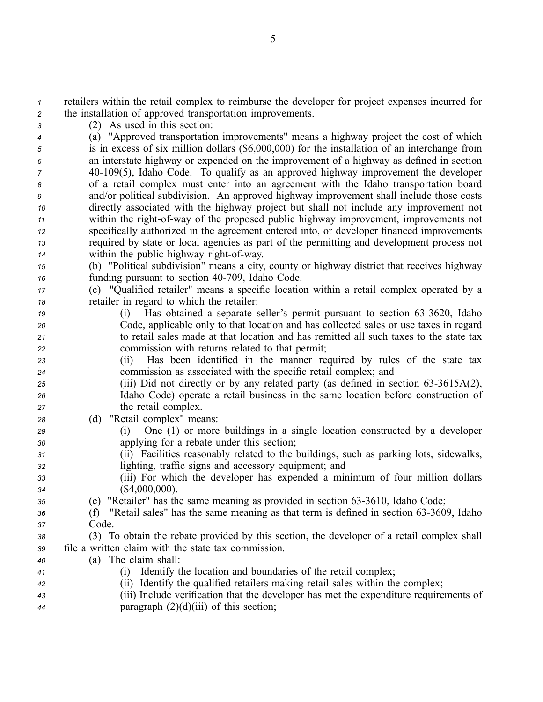*<sup>1</sup>* retailers within the retail complex to reimburse the developer for project expenses incurred for *<sup>2</sup>* the installation of approved transportation improvements.

*<sup>3</sup>* (2) As used in this section:

 (a) "Approved transportation improvements" means <sup>a</sup> highway project the cost of which is in excess of six million dollars (\$6,000,000) for the installation of an interchange from an interstate highway or expended on the improvement of <sup>a</sup> highway as defined in section 40109(5), Idaho Code. To qualify as an approved highway improvement the developer of <sup>a</sup> retail complex must enter into an agreemen<sup>t</sup> with the Idaho transportation board and/or political subdivision. An approved highway improvement shall include those costs directly associated with the highway project but shall not include any improvement not within the right-of-way of the proposed public highway improvement, improvements not specifically authorized in the agreemen<sup>t</sup> entered into, or developer financed improvements required by state or local agencies as par<sup>t</sup> of the permitting and development process not within the public highway right-of-way.

- *<sup>15</sup>* (b) "Political subdivision" means <sup>a</sup> city, county or highway district that receives highway *16* funding pursuant to section 40-709, Idaho Code.
- *<sup>17</sup>* (c) "Qualified retailer" means <sup>a</sup> specific location within <sup>a</sup> retail complex operated by <sup>a</sup> *<sup>18</sup>* retailer in regard to which the retailer:
- *<sup>19</sup>* (i) Has obtained <sup>a</sup> separate seller's permit pursuan<sup>t</sup> to section 633620, Idaho *<sup>20</sup>* Code, applicable only to that location and has collected sales or use taxes in regard *<sup>21</sup>* to retail sales made at that location and has remitted all such taxes to the state tax *<sup>22</sup>* commission with returns related to that permit;
- *<sup>23</sup>* (ii) Has been identified in the manner required by rules of the state tax *<sup>24</sup>* commission as associated with the specific retail complex; and
- <sup>25</sup> (iii) Did not directly or by any related party (as defined in section 63-3615A(2), *<sup>26</sup>* Idaho Code) operate <sup>a</sup> retail business in the same location before construction of *<sup>27</sup>* the retail complex.
- *<sup>28</sup>* (d) "Retail complex" means:
- *<sup>29</sup>* (i) One (1) or more buildings in <sup>a</sup> single location constructed by <sup>a</sup> developer *<sup>30</sup>* applying for <sup>a</sup> rebate under this section;
- *<sup>31</sup>* (ii) Facilities reasonably related to the buildings, such as parking lots, sidewalks, *<sup>32</sup>* lighting, traffic signs and accessory equipment; and
- *<sup>33</sup>* (iii) For which the developer has expended <sup>a</sup> minimum of four million dollars *<sup>34</sup>* (\$4,000,000).
- *<sup>35</sup>* (e) "Retailer" has the same meaning as provided in section 633610, Idaho Code;
- 36 (f) "Retail sales" has the same meaning as that term is defined in section 63-3609, Idaho *<sup>37</sup>* Code.
- *<sup>38</sup>* (3) To obtain the rebate provided by this section, the developer of <sup>a</sup> retail complex shall *<sup>39</sup>* file <sup>a</sup> written claim with the state tax commission.
- *<sup>40</sup>* (a) The claim shall:
- *<sup>41</sup>* (i) Identify the location and boundaries of the retail complex;
- *<sup>42</sup>* (ii) Identify the qualified retailers making retail sales within the complex;
- *<sup>43</sup>* (iii) Include verification that the developer has met the expenditure requirements of *<sup>44</sup>* paragraph (2)(d)(iii) of this section;